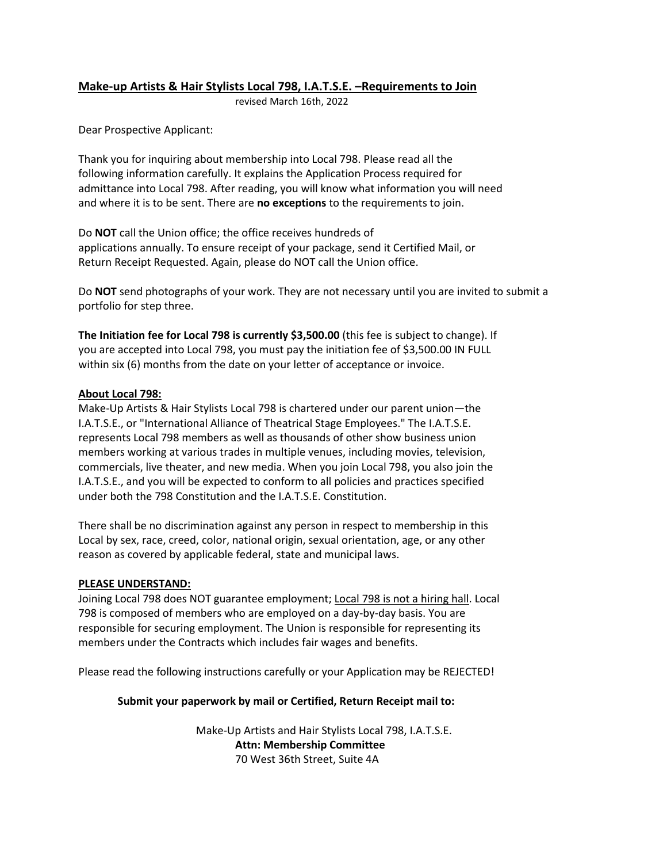# **Make-up Artists & Hair Stylists Local 798, I.A.T.S.E. –Requirements to Join**

revised March 16th, 2022

Dear Prospective Applicant:

Thank you for inquiring about membership into Local 798. Please read all the following information carefully. It explains the Application Process required for admittance into Local 798. After reading, you will know what information you will need and where it is to be sent. There are **no exceptions** to the requirements to join.

Do **NOT** call the Union office; the office receives hundreds of applications annually. To ensure receipt of your package, send it Certified Mail, or Return Receipt Requested. Again, please do NOT call the Union office.

Do **NOT** send photographs of your work. They are not necessary until you are invited to submit a portfolio for step three.

**The Initiation fee for Local 798 is currently \$3,500.00** (this fee is subject to change). If you are accepted into Local 798, you must pay the initiation fee of \$3,500.00 IN FULL within six (6) months from the date on your letter of acceptance or invoice.

## **About Local 798:**

Make-Up Artists & Hair Stylists Local 798 is chartered under our parent union—the I.A.T.S.E., or "International Alliance of Theatrical Stage Employees." The I.A.T.S.E. represents Local 798 members as well as thousands of other show business union members working at various trades in multiple venues, including movies, television, commercials, live theater, and new media. When you join Local 798, you also join the I.A.T.S.E., and you will be expected to conform to all policies and practices specified under both the 798 Constitution and the I.A.T.S.E. Constitution.

There shall be no discrimination against any person in respect to membership in this Local by sex, race, creed, color, national origin, sexual orientation, age, or any other reason as covered by applicable federal, state and municipal laws.

## **PLEASE UNDERSTAND:**

Joining Local 798 does NOT guarantee employment; Local 798 is not a hiring hall. Local 798 is composed of members who are employed on a day-by-day basis. You are responsible for securing employment. The Union is responsible for representing its members under the Contracts which includes fair wages and benefits.

Please read the following instructions carefully or your Application may be REJECTED!

# **Submit your paperwork by mail or Certified, Return Receipt mail to:**

 Make-Up Artists and Hair Stylists Local 798, I.A.T.S.E. **Attn: Membership Committee** 70 West 36th Street, Suite 4A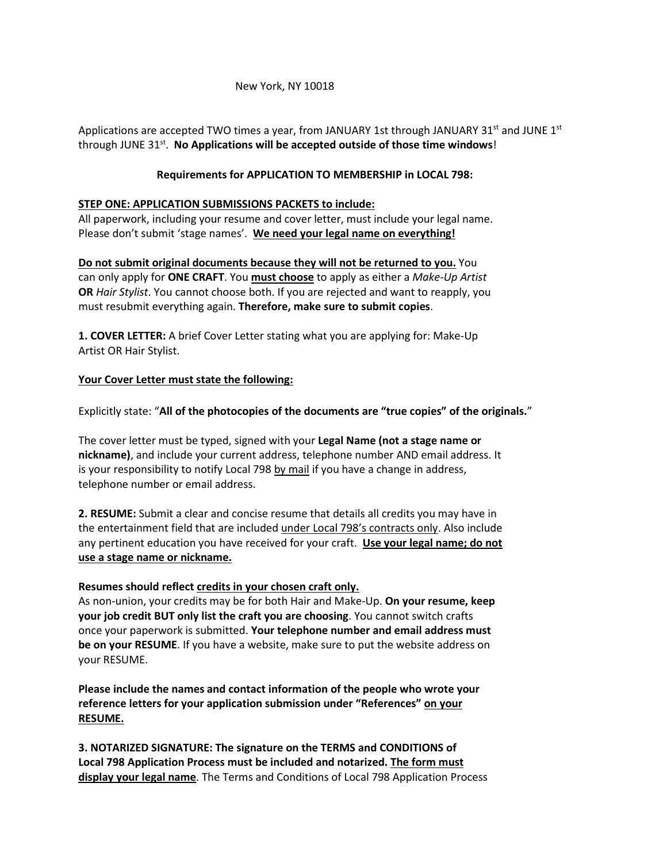#### New York, NY 10018

Applications are accepted TWO times a year, from JANUARY 1st through JANUARY 31 $^{\rm st}$  and JUNE 1 $^{\rm st}$ through JUNE 31st. **No Applications will be accepted outside of those time windows**!

#### **Requirements for APPLICATION TO MEMBERSHIP in LOCAL 798:**

#### **STEP ONE: APPLICATION SUBMISSIONS PACKETS to include:**

All paperwork, including your resume and cover letter, must include your legal name. Please don't submit 'stage names'. **We need your legal name on everything!** 

**Do not submit original documents because they will not be returned to you.** You can only apply for **ONE CRAFT**. You **must choose** to apply as either a *Make-Up Artist* **OR** *Hair Stylist*. You cannot choose both. If you are rejected and want to reapply, you must resubmit everything again. **Therefore, make sure to submit copies**.

**1. COVER LETTER:** A brief Cover Letter stating what you are applying for: Make-Up Artist OR Hair Stylist.

#### **Your Cover Letter must state the following:**

Explicitly state: "**All of the photocopies of the documents are "true copies" of the originals.**"

The cover letter must be typed, signed with your **Legal Name (not a stage name or nickname)**, and include your current address, telephone number AND email address. It is your responsibility to notify Local 798 by mail if you have a change in address, telephone number or email address.

**2. RESUME:** Submit a clear and concise resume that details all credits you may have in the entertainment field that are included under Local 798's contracts only. Also include any pertinent education you have received for your craft. **Use your legal name; do not use a stage name or nickname.** 

#### **Resumes should reflect credits in your chosen craft only.**

As non-union, your credits may be for both Hair and Make-Up. **On your resume, keep your job credit BUT only list the craft you are choosing**. You cannot switch crafts once your paperwork is submitted. **Your telephone number and email address must be on your RESUME**. If you have a website, make sure to put the website address on your RESUME.

**Please include the names and contact information of the people who wrote your reference letters for your application submission under "References" on your RESUME.** 

**3. NOTARIZED SIGNATURE: The signature on the TERMS and CONDITIONS of Local 798 Application Process must be included and notarized. The form must display your legal name**. The Terms and Conditions of Local 798 Application Process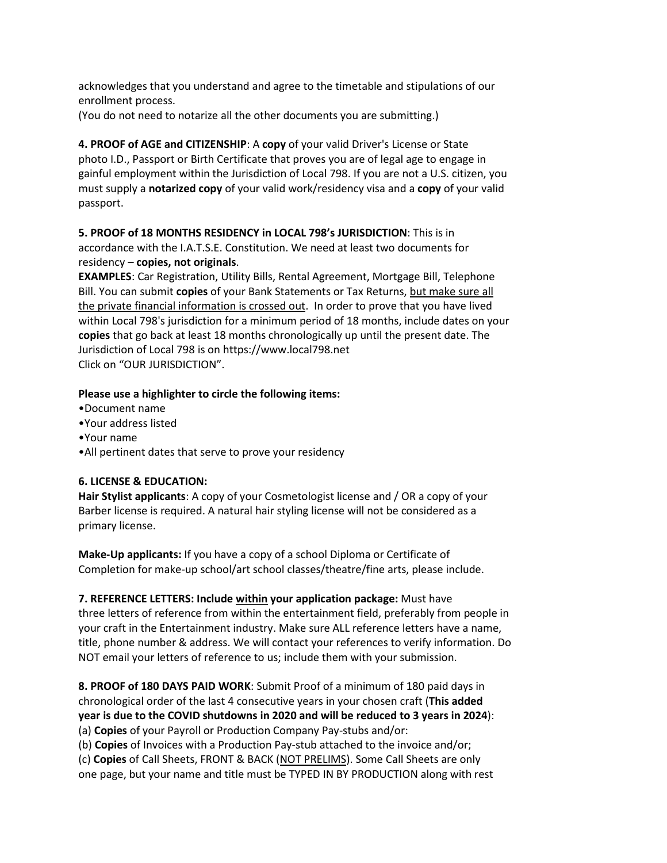acknowledges that you understand and agree to the timetable and stipulations of our enrollment process.

(You do not need to notarize all the other documents you are submitting.)

**4. PROOF of AGE and CITIZENSHIP**: A **copy** of your valid Driver's License or State photo I.D., Passport or Birth Certificate that proves you are of legal age to engage in gainful employment within the Jurisdiction of Local 798. If you are not a U.S. citizen, you must supply a **notarized copy** of your valid work/residency visa and a **copy** of your valid passport.

**5. PROOF of 18 MONTHS RESIDENCY in LOCAL 798's JURISDICTION**: This is in accordance with the I.A.T.S.E. Constitution. We need at least two documents for residency – **copies, not originals**.

**EXAMPLES**: Car Registration, Utility Bills, Rental Agreement, Mortgage Bill, Telephone Bill. You can submit **copies** of your Bank Statements or Tax Returns, but make sure all the private financial information is crossed out. In order to prove that you have lived within Local 798's jurisdiction for a minimum period of 18 months, include dates on your **copies** that go back at least 18 months chronologically up until the present date. The Jurisdiction of Local 798 is on https://www.local798.net Click on "OUR JURISDICTION".

#### **Please use a highlighter to circle the following items:**

- •Document name
- •Your address listed
- •Your name
- •All pertinent dates that serve to prove your residency

## **6. LICENSE & EDUCATION:**

**Hair Stylist applicants**: A copy of your Cosmetologist license and / OR a copy of your Barber license is required. A natural hair styling license will not be considered as a primary license.

**Make-Up applicants:** If you have a copy of a school Diploma or Certificate of Completion for make-up school/art school classes/theatre/fine arts, please include.

**7. REFERENCE LETTERS: Include within your application package:** Must have three letters of reference from within the entertainment field, preferably from people in your craft in the Entertainment industry. Make sure ALL reference letters have a name, title, phone number & address. We will contact your references to verify information. Do NOT email your letters of reference to us; include them with your submission.

**8. PROOF of 180 DAYS PAID WORK**: Submit Proof of a minimum of 180 paid days in chronological order of the last 4 consecutive years in your chosen craft (**This added year is due to the COVID shutdowns in 2020 and will be reduced to 3 years in 2024**): (a) **Copies** of your Payroll or Production Company Pay-stubs and/or:

(b) **Copies** of Invoices with a Production Pay-stub attached to the invoice and/or;

(c) **Copies** of Call Sheets, FRONT & BACK (NOT PRELIMS). Some Call Sheets are only

one page, but your name and title must be TYPED IN BY PRODUCTION along with rest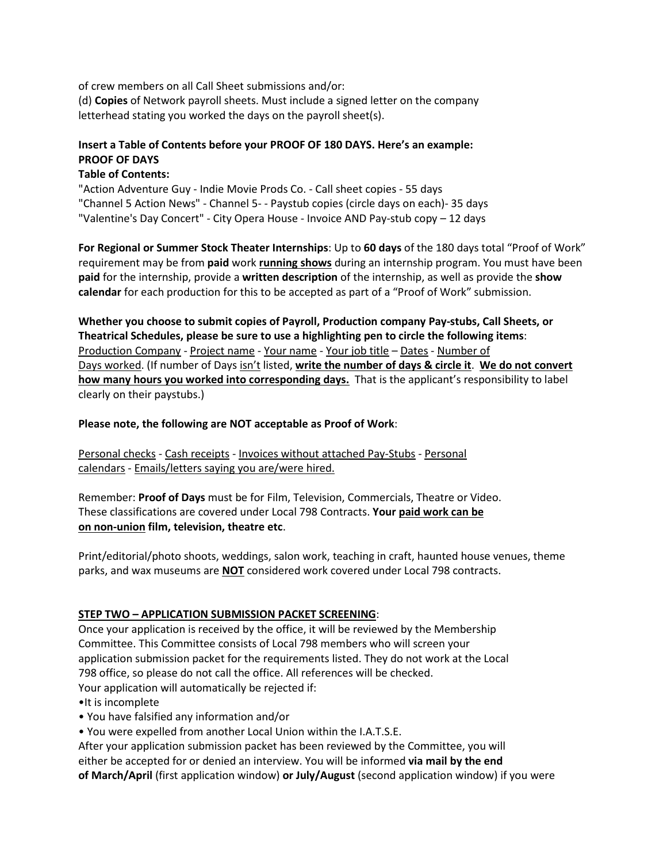of crew members on all Call Sheet submissions and/or: (d) **Copies** of Network payroll sheets. Must include a signed letter on the company letterhead stating you worked the days on the payroll sheet(s).

# **Insert a Table of Contents before your PROOF OF 180 DAYS. Here's an example: PROOF OF DAYS**

## **Table of Contents:**

"Action Adventure Guy - Indie Movie Prods Co. - Call sheet copies - 55 days "Channel 5 Action News" - Channel 5- - Paystub copies (circle days on each)- 35 days "Valentine's Day Concert" - City Opera House - Invoice AND Pay-stub copy – 12 days

**For Regional or Summer Stock Theater Internships**: Up to **60 days** of the 180 days total "Proof of Work" requirement may be from **paid** work **running shows** during an internship program. You must have been **paid** for the internship, provide a **written description** of the internship, as well as provide the **show calendar** for each production for this to be accepted as part of a "Proof of Work" submission.

**Whether you choose to submit copies of Payroll, Production company Pay-stubs, Call Sheets, or Theatrical Schedules, please be sure to use a highlighting pen to circle the following items**: Production Company - Project name - Your name - Your job title – Dates - Number of Days worked. (If number of Days isn't listed, **write the number of days & circle it**. **We do not convert how many hours you worked into corresponding days.** That is the applicant's responsibility to label clearly on their paystubs.)

## **Please note, the following are NOT acceptable as Proof of Work**:

Personal checks - Cash receipts - Invoices without attached Pay-Stubs - Personal calendars - Emails/letters saying you are/were hired.

Remember: **Proof of Days** must be for Film, Television, Commercials, Theatre or Video. These classifications are covered under Local 798 Contracts. **Your paid work can be on non-union film, television, theatre etc**.

Print/editorial/photo shoots, weddings, salon work, teaching in craft, haunted house venues, theme parks, and wax museums are **NOT** considered work covered under Local 798 contracts.

# **STEP TWO – APPLICATION SUBMISSION PACKET SCREENING**:

Once your application is received by the office, it will be reviewed by the Membership Committee. This Committee consists of Local 798 members who will screen your application submission packet for the requirements listed. They do not work at the Local 798 office, so please do not call the office. All references will be checked. Your application will automatically be rejected if:

- •It is incomplete
- You have falsified any information and/or
- You were expelled from another Local Union within the I.A.T.S.E.

After your application submission packet has been reviewed by the Committee, you will either be accepted for or denied an interview. You will be informed **via mail by the end of March/April** (first application window) **or July/August** (second application window) if you were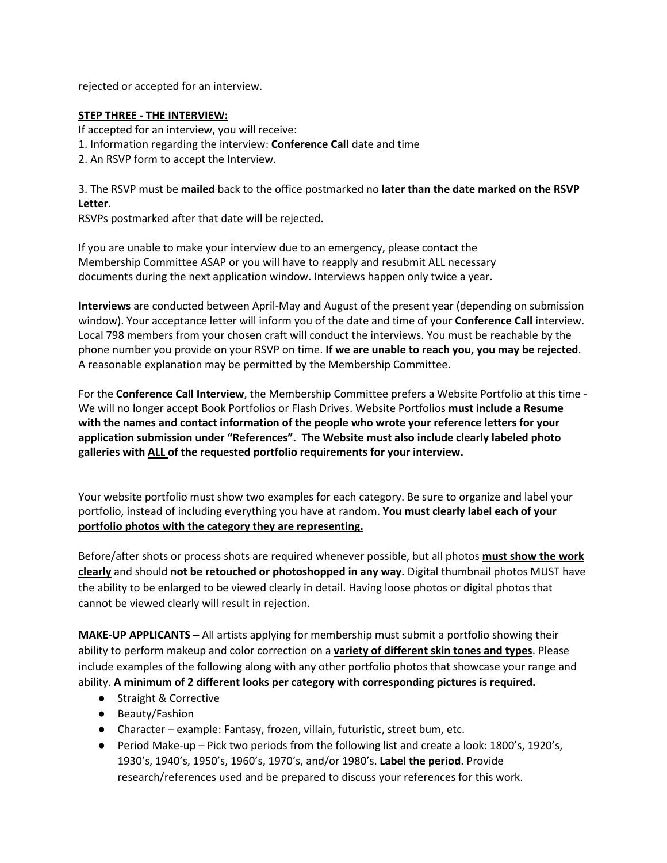rejected or accepted for an interview.

#### **STEP THREE - THE INTERVIEW:**

If accepted for an interview, you will receive:

- 1. Information regarding the interview: **Conference Call** date and time
- 2. An RSVP form to accept the Interview.

3. The RSVP must be **mailed** back to the office postmarked no **later than the date marked on the RSVP Letter**.

RSVPs postmarked after that date will be rejected.

If you are unable to make your interview due to an emergency, please contact the Membership Committee ASAP or you will have to reapply and resubmit ALL necessary documents during the next application window. Interviews happen only twice a year.

**Interviews** are conducted between April-May and August of the present year (depending on submission window). Your acceptance letter will inform you of the date and time of your **Conference Call** interview. Local 798 members from your chosen craft will conduct the interviews. You must be reachable by the phone number you provide on your RSVP on time. **If we are unable to reach you, you may be rejected**. A reasonable explanation may be permitted by the Membership Committee.

For the **Conference Call Interview**, the Membership Committee prefers a Website Portfolio at this time - We will no longer accept Book Portfolios or Flash Drives. Website Portfolios **must include a Resume with the names and contact information of the people who wrote your reference letters for your application submission under "References". The Website must also include clearly labeled photo galleries with ALL of the requested portfolio requirements for your interview.**

Your website portfolio must show two examples for each category. Be sure to organize and label your portfolio, instead of including everything you have at random. **You must clearly label each of your portfolio photos with the category they are representing.** 

Before/after shots or process shots are required whenever possible, but all photos **must show the work clearly** and should **not be retouched or photoshopped in any way.** Digital thumbnail photos MUST have the ability to be enlarged to be viewed clearly in detail. Having loose photos or digital photos that cannot be viewed clearly will result in rejection.

**MAKE-UP APPLICANTS –** All artists applying for membership must submit a portfolio showing their ability to perform makeup and color correction on a **variety of different skin tones and types**. Please include examples of the following along with any other portfolio photos that showcase your range and ability. **A minimum of 2 different looks per category with corresponding pictures is required.**

- Straight & Corrective
- Beauty/Fashion
- Character example: Fantasy, frozen, villain, futuristic, street bum, etc.
- Period Make-up Pick two periods from the following list and create a look: 1800's, 1920's, 1930's, 1940's, 1950's, 1960's, 1970's, and/or 1980's. **Label the period**. Provide research/references used and be prepared to discuss your references for this work.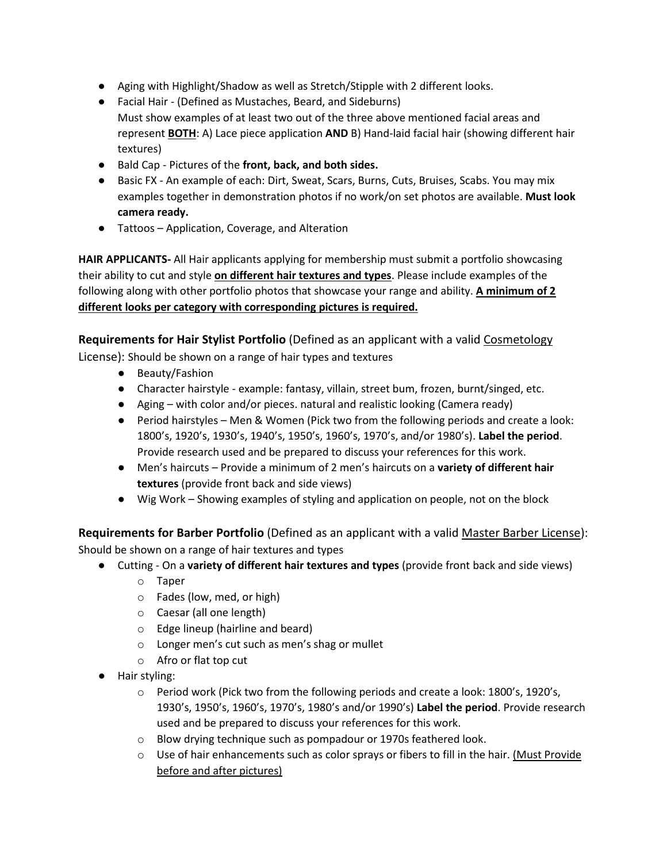- Aging with Highlight/Shadow as well as Stretch/Stipple with 2 different looks.
- Facial Hair (Defined as Mustaches, Beard, and Sideburns) Must show examples of at least two out of the three above mentioned facial areas and represent **BOTH**: A) Lace piece application **AND** B) Hand-laid facial hair (showing different hair textures)
- Bald Cap Pictures of the **front, back, and both sides.**
- Basic FX An example of each: Dirt, Sweat, Scars, Burns, Cuts, Bruises, Scabs. You may mix examples together in demonstration photos if no work/on set photos are available. **Must look camera ready.**
- Tattoos Application, Coverage, and Alteration

**HAIR APPLICANTS-** All Hair applicants applying for membership must submit a portfolio showcasing their ability to cut and style **on different hair textures and types**. Please include examples of the following along with other portfolio photos that showcase your range and ability. **A minimum of 2 different looks per category with corresponding pictures is required.**

**Requirements for Hair Stylist Portfolio** (Defined as an applicant with a valid Cosmetology License): Should be shown on a range of hair types and textures

- Beauty/Fashion
- Character hairstyle example: fantasy, villain, street bum, frozen, burnt/singed, etc.
- Aging with color and/or pieces. natural and realistic looking (Camera ready)
- Period hairstyles Men & Women (Pick two from the following periods and create a look: 1800's, 1920's, 1930's, 1940's, 1950's, 1960's, 1970's, and/or 1980's). **Label the period**. Provide research used and be prepared to discuss your references for this work.
- Men's haircuts Provide a minimum of 2 men's haircuts on a **variety of different hair textures** (provide front back and side views)
- Wig Work Showing examples of styling and application on people, not on the block

**Requirements for Barber Portfolio** (Defined as an applicant with a valid Master Barber License): Should be shown on a range of hair textures and types

- Cutting On a **variety of different hair textures and types** (provide front back and side views)
	- o Taper
	- o Fades (low, med, or high)
	- o Caesar (all one length)
	- o Edge lineup (hairline and beard)
	- o Longer men's cut such as men's shag or mullet
	- o Afro or flat top cut
- Hair styling:
	- $\circ$  Period work (Pick two from the following periods and create a look: 1800's, 1920's, 1930's, 1950's, 1960's, 1970's, 1980's and/or 1990's) **Label the period**. Provide research used and be prepared to discuss your references for this work.
	- o Blow drying technique such as pompadour or 1970s feathered look.
	- $\circ$  Use of hair enhancements such as color sprays or fibers to fill in the hair. (Must Provide before and after pictures)